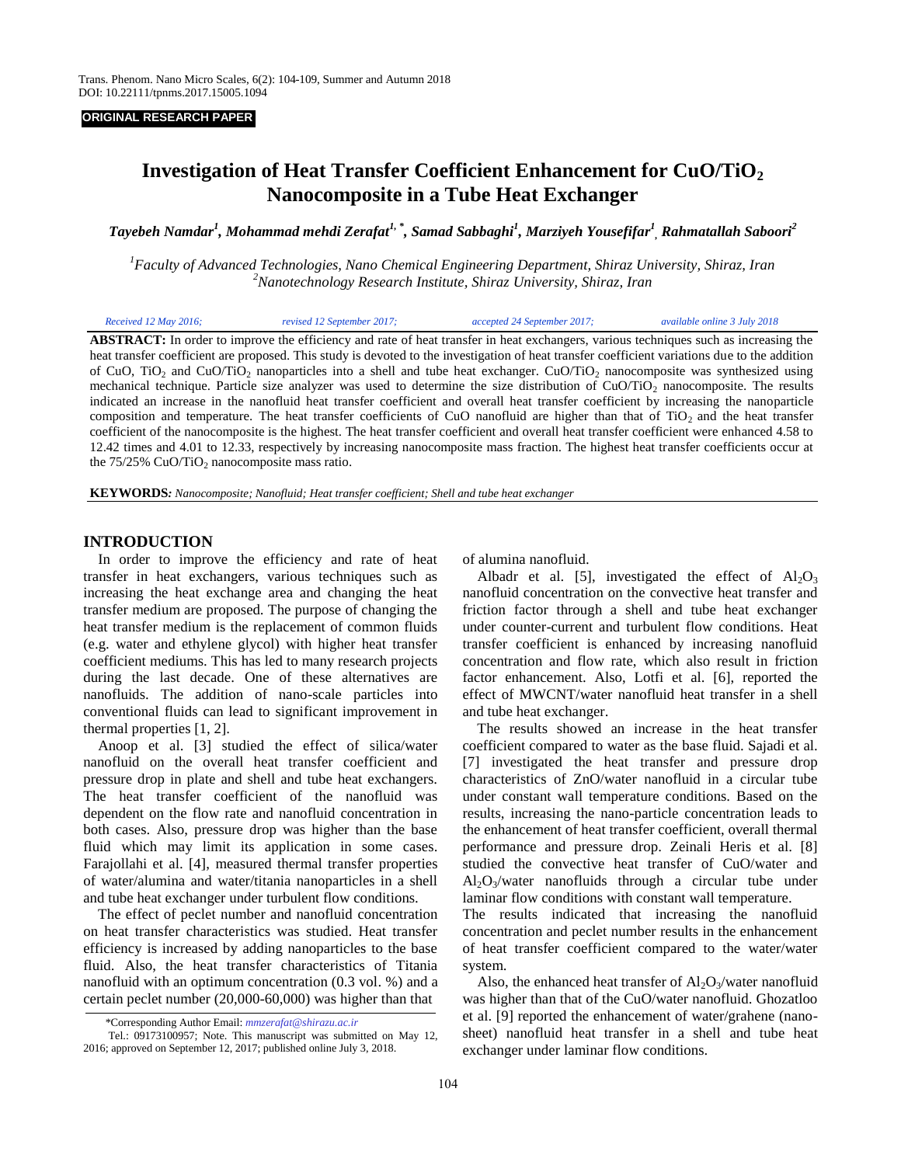#### **ORIGINAL RESEARCH PAPER**

# **Investigation of Heat Transfer Coefficient Enhancement for CuO/TiO<sup>2</sup> Nanocomposite in a Tube Heat Exchanger**

*Tayebeh Namdar<sup>1</sup> , Mohammad mehdi Zerafat1, \* , Samad Sabbaghi<sup>1</sup> , Marziyeh Yousefifar<sup>1</sup> , Rahmatallah Saboori<sup>2</sup>*

*<sup>1</sup>Faculty of Advanced Technologies, Nano Chemical Engineering Department, Shiraz University, Shiraz, Iran <sup>2</sup>Nanotechnology Research Institute, Shiraz University, Shiraz, Iran*

| Received 12 May 2016:<br>revised 12 September 2017: | accepted 24 September 2017; | available online 3 July 2018 |
|-----------------------------------------------------|-----------------------------|------------------------------|
|-----------------------------------------------------|-----------------------------|------------------------------|

**ABSTRACT:** In order to improve the efficiency and rate of heat transfer in heat exchangers, various techniques such as increasing the heat transfer coefficient are proposed. This study is devoted to the investigation of heat transfer coefficient variations due to the addition of CuO, TiO<sub>2</sub> and CuO/TiO<sub>2</sub> nanoparticles into a shell and tube heat exchanger. CuO/TiO<sub>2</sub> nanocomposite was synthesized using mechanical technique. Particle size analyzer was used to determine the size distribution of  $CuO/TiO<sub>2</sub>$  nanocomposite. The results indicated an increase in the nanofluid heat transfer coefficient and overall heat transfer coefficient by increasing the nanoparticle composition and temperature. The heat transfer coefficients of CuO nanofluid are higher than that of  $TiO<sub>2</sub>$  and the heat transfer coefficient of the nanocomposite is the highest. The heat transfer coefficient and overall heat transfer coefficient were enhanced 4.58 to 12.42 times and 4.01 to 12.33, respectively by increasing nanocomposite mass fraction. The highest heat transfer coefficients occur at the  $75/25\%$  CuO/TiO<sub>2</sub> nanocomposite mass ratio.

**KEYWORDS***: Nanocomposite; Nanofluid; Heat transfer coefficient; Shell and tube heat exchanger*

# **INTRODUCTION**

 In order to improve the efficiency and rate of heat transfer in heat exchangers, various techniques such as increasing the heat exchange area and changing the heat transfer medium are proposed. The purpose of changing the heat transfer medium is the replacement of common fluids (e.g. water and ethylene glycol) with higher heat transfer coefficient mediums. This has led to many research projects during the last decade. One of these alternatives are nanofluids. The addition of nano-scale particles into conventional fluids can lead to significant improvement in thermal properties [1, 2].

 Anoop et al. [3] studied the effect of silica/water nanofluid on the overall heat transfer coefficient and pressure drop in plate and shell and tube heat exchangers. The heat transfer coefficient of the nanofluid was dependent on the flow rate and nanofluid concentration in both cases. Also, pressure drop was higher than the base fluid which may limit its application in some cases. Farajollahi et al. [4], measured thermal transfer properties of water/alumina and water/titania nanoparticles in a shell and tube heat exchanger under turbulent flow conditions.

 The effect of peclet number and nanofluid concentration on heat transfer characteristics was studied. Heat transfer efficiency is increased by adding nanoparticles to the base fluid. Also, the heat transfer characteristics of Titania nanofluid with an optimum concentration (0.3 vol. %) and a certain peclet number (20,000-60,000) was higher than that

of alumina nanofluid.

Albadr et al. [5], investigated the effect of  $Al_2O_3$ nanofluid concentration on the convective heat transfer and friction factor through a shell and tube heat exchanger under counter-current and turbulent flow conditions. Heat transfer coefficient is enhanced by increasing nanofluid concentration and flow rate, which also result in friction factor enhancement. Also, Lotfi et al. [6], reported the effect of MWCNT/water nanofluid heat transfer in a shell and tube heat exchanger.

 The results showed an increase in the heat transfer coefficient compared to water as the base fluid. Sajadi et al. [7] investigated the heat transfer and pressure drop characteristics of ZnO/water nanofluid in a circular tube under constant wall temperature conditions. Based on the results, increasing the nano-particle concentration leads to the enhancement of heat transfer coefficient, overall thermal performance and pressure drop. Zeinali Heris et al. [8] studied the convective heat transfer of CuO/water and  $Al_2O_3/water$  nanofluids through a circular tube under laminar flow conditions with constant wall temperature.

The results indicated that increasing the nanofluid concentration and peclet number results in the enhancement of heat transfer coefficient compared to the water/water system.

Also, the enhanced heat transfer of  $Al_2O_3/water$  nanofluid was higher than that of the CuO/water nanofluid. Ghozatloo et al. [9] reported the enhancement of water/grahene (nanosheet) nanofluid heat transfer in a shell and tube heat exchanger under laminar flow conditions.

<sup>…</sup> \*Corresponding Author Email: *mmzerafat@shirazu.ac.ir*

Tel.: 09173100957; Note. This manuscript was submitted on May 12, 2016; approved on September 12, 2017; published online July 3, 2018.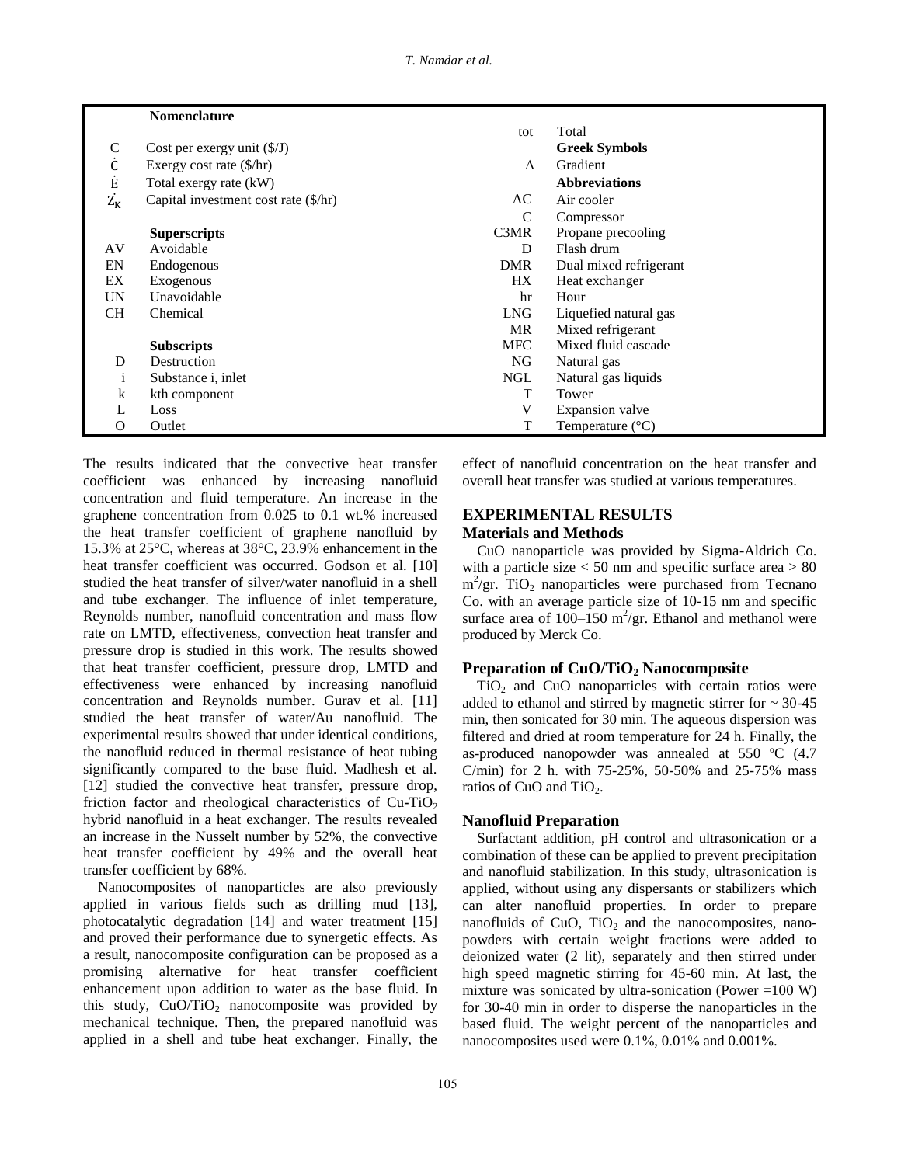|                       | <b>Nomenclature</b>                  |               |                           |
|-----------------------|--------------------------------------|---------------|---------------------------|
|                       |                                      | tot           | Total                     |
| $\mathsf{C}$          | Cost per exergy unit $(\frac{f}{J})$ |               | <b>Greek Symbols</b>      |
| Ċ                     | Exergy cost rate $(\frac{5}{hr})$    | Δ             | Gradient                  |
| Ė                     | Total exergy rate (kW)               |               | <b>Abbreviations</b>      |
| $\dot{\rm Z}_{\rm K}$ | Capital investment cost rate (\$/hr) | AC            | Air cooler                |
|                       |                                      | $\mathcal{C}$ | Compressor                |
|                       | <b>Superscripts</b>                  | C3MR          | Propane precooling        |
| AV                    | Avoidable                            | D             | Flash drum                |
| EN                    | Endogenous                           | <b>DMR</b>    | Dual mixed refrigerant    |
| EX                    | Exogenous                            | HX            | Heat exchanger            |
| UN                    | Unavoidable                          | hr            | Hour                      |
| <b>CH</b>             | Chemical                             | <b>LNG</b>    | Liquefied natural gas     |
|                       |                                      | <b>MR</b>     | Mixed refrigerant         |
|                       | <b>Subscripts</b>                    | <b>MFC</b>    | Mixed fluid cascade       |
| D                     | Destruction                          | NG            | Natural gas               |
| $\mathbf{1}$          | Substance <i>i</i> , inlet           | <b>NGL</b>    | Natural gas liquids       |
| $\bf k$               | kth component                        | т             | Tower                     |
|                       | Loss                                 | V             | Expansion valve           |
| О                     | Outlet                               | T             | Temperature $(^{\circ}C)$ |

The results indicated that the convective heat transfer coefficient was enhanced by increasing nanofluid concentration and fluid temperature. An increase in the graphene concentration from 0.025 to 0.1 wt.% increased the heat transfer coefficient of graphene nanofluid by 15.3% at 25°C, whereas at 38°C, 23.9% enhancement in the heat transfer coefficient was occurred. Godson et al. [10] studied the heat transfer of silver/water nanofluid in a shell and tube exchanger. The influence of inlet temperature, Reynolds number, nanofluid concentration and mass flow rate on LMTD, effectiveness, convection heat transfer and pressure drop is studied in this work. The results showed that heat transfer coefficient, pressure drop, LMTD and effectiveness were enhanced by increasing nanofluid concentration and Reynolds number. Gurav et al. [11] studied the heat transfer of water/Au nanofluid. The experimental results showed that under identical conditions, the nanofluid reduced in thermal resistance of heat tubing significantly compared to the base fluid. Madhesh et al. [12] studied the convective heat transfer, pressure drop, friction factor and rheological characteristics of Cu-TiO<sub>2</sub> hybrid nanofluid in a heat exchanger. The results revealed an increase in the Nusselt number by 52%, the convective heat transfer coefficient by 49% and the overall heat transfer coefficient by 68%.

 Nanocomposites of nanoparticles are also previously applied in various fields such as drilling mud [13], photocatalytic degradation [14] and water treatment [15] and proved their performance due to synergetic effects. As a result, nanocomposite configuration can be proposed as a promising alternative for heat transfer coefficient enhancement upon addition to water as the base fluid. In this study,  $CuO/TiO<sub>2</sub>$  nanocomposite was provided by mechanical technique. Then, the prepared nanofluid was applied in a shell and tube heat exchanger. Finally, the

effect of nanofluid concentration on the heat transfer and overall heat transfer was studied at various temperatures.

# **EXPERIMENTAL RESULTS Materials and Methods**

 CuO nanoparticle was provided by Sigma-Aldrich Co. with a particle size  $<$  50 nm and specific surface area  $> 80$  $m^2$ /gr. TiO<sub>2</sub> nanoparticles were purchased from Tecnano Co. with an average particle size of 10**-**15 nm and specific surface area of  $100-150$  m<sup>2</sup>/gr. Ethanol and methanol were produced by Merck Co.

# **Preparation of CuO/TiO<sup>2</sup> Nanocomposite**

 $TiO<sub>2</sub>$  and CuO nanoparticles with certain ratios were added to ethanol and stirred by magnetic stirrer for  $\sim$  30-45 min, then sonicated for 30 min. The aqueous dispersion was filtered and dried at room temperature for 24 h. Finally, the as-produced nanopowder was annealed at 550 ºC (4.7 C/min) for 2 h. with 75-25%, 50-50% and 25-75% mass ratios of CuO and TiO<sub>2</sub>.

# **Nanofluid Preparation**

 Surfactant addition, pH control and ultrasonication or a combination of these can be applied to prevent precipitation and nanofluid stabilization. In this study, ultrasonication is applied, without using any dispersants or stabilizers which can alter nanofluid properties. In order to prepare nanofluids of CuO,  $TiO<sub>2</sub>$  and the nanocomposites, nanopowders with certain weight fractions were added to deionized water (2 lit), separately and then stirred under high speed magnetic stirring for 45-60 min. At last, the mixture was sonicated by ultra-sonication (Power  $=100 W$ ) for 30-40 min in order to disperse the nanoparticles in the based fluid. The weight percent of the nanoparticles and nanocomposites used were 0.1%, 0.01% and 0.001%.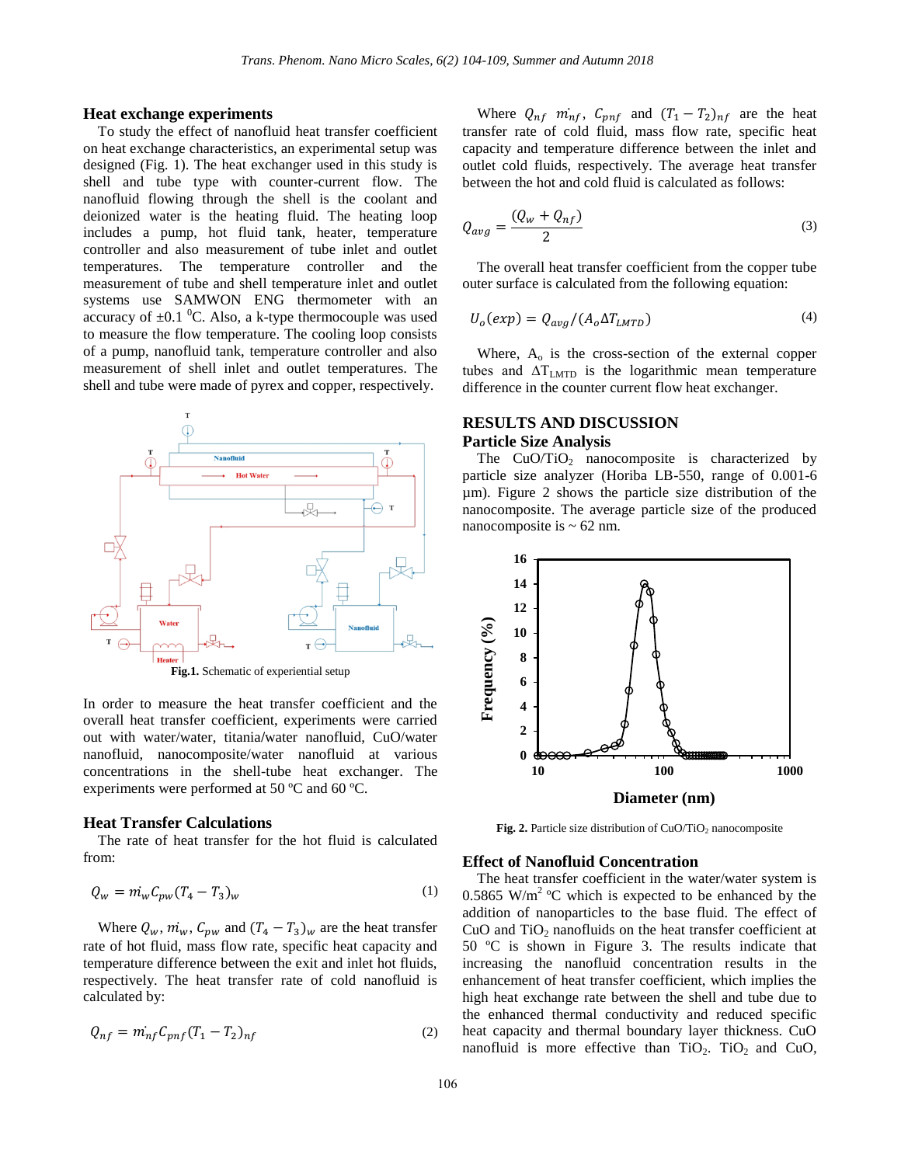#### **Heat exchange experiments**

 To study the effect of nanofluid heat transfer coefficient on heat exchange characteristics, an experimental setup was designed (Fig. 1). The heat exchanger used in this study is shell and tube type with counter-current flow. The nanofluid flowing through the shell is the coolant and deionized water is the heating fluid. The heating loop includes a pump, hot fluid tank, heater, temperature controller and also measurement of tube inlet and outlet temperatures. The temperature controller and the measurement of tube and shell temperature inlet and outlet systems use SAMWON ENG thermometer with an accuracy of  $\pm 0.1$  <sup>0</sup>C. Also, a k-type thermocouple was used to measure the flow temperature. The cooling loop consists of a pump, nanofluid tank, temperature controller and also measurement of shell inlet and outlet temperatures. The shell and tube were made of pyrex and copper, respectively.



In order to measure the heat transfer coefficient and the overall heat transfer coefficient, experiments were carried out with water/water, titania**/**water nanofluid, CuO/water nanofluid, nanocomposite/water nanofluid at various concentrations in the shell-tube heat exchanger. The experiments were performed at 50 ºC and 60 ºC.

#### **Heat Transfer Calculations**

 The rate of heat transfer for the hot fluid is calculated from:

$$
Q_w = m_w C_{pw} (T_4 - T_3)_w
$$
 (1)

Where  $Q_w$ ,  $\dot{m}_w$ ,  $C_{pw}$  and  $(T_4 - T_3)_w$  are the heat transfer rate of hot fluid, mass flow rate, specific heat capacity and temperature difference between the exit and inlet hot fluids, respectively. The heat transfer rate of cold nanofluid is calculated by:

$$
Q_{nf} = m_{nf}^{\cdot} C_{pnf} (T_1 - T_2)_{nf}
$$
 (2)

Where  $Q_{nf}$   $m_{nf}$ ,  $C_{pnf}$  and  $(T_1 - T_2)_{nf}$  are the heat transfer rate of cold fluid, mass flow rate, specific heat capacity and temperature difference between the inlet and outlet cold fluids, respectively. The average heat transfer between the hot and cold fluid is calculated as follows:

$$
Q_{avg} = \frac{(Q_w + Q_{nf})}{2} \tag{3}
$$

 The overall heat transfer coefficient from the copper tube outer surface is calculated from the following equation:

$$
U_o(exp) = Q_{avg} / (A_o \Delta T_{LMTD})
$$
\n(4)

Where,  $A_0$  is the cross-section of the external copper tubes and  $\Delta T_{\text{LMTD}}$  is the logarithmic mean temperature difference in the counter current flow heat exchanger.

### **RESULTS AND DISCUSSION Particle Size Analysis**

The  $CuO/TiO<sub>2</sub>$  nanocomposite is characterized by particle size analyzer (Horiba LB-550, range of 0.001-6 µm). Figure 2 shows the particle size distribution of the nanocomposite. The average particle size of the produced nanocomposite is  $\sim$  62 nm.



**Fig. 2.** Particle size distribution of CuO/TiO<sub>2</sub> nanocomposite

#### **Effect of Nanofluid Concentration**

 The heat transfer coefficient in the water/water system is 0.5865 W/m<sup>2</sup> °C which is expected to be enhanced by the addition of nanoparticles to the base fluid. The effect of CuO and  $TiO<sub>2</sub>$  nanofluids on the heat transfer coefficient at 50 ºC is shown in Figure 3. The results indicate that increasing the nanofluid concentration results in the enhancement of heat transfer coefficient, which implies the high heat exchange rate between the shell and tube due to the enhanced thermal conductivity and reduced specific heat capacity and thermal boundary layer thickness. CuO nanofluid is more effective than  $TiO<sub>2</sub>$ . TiO<sub>2</sub> and CuO,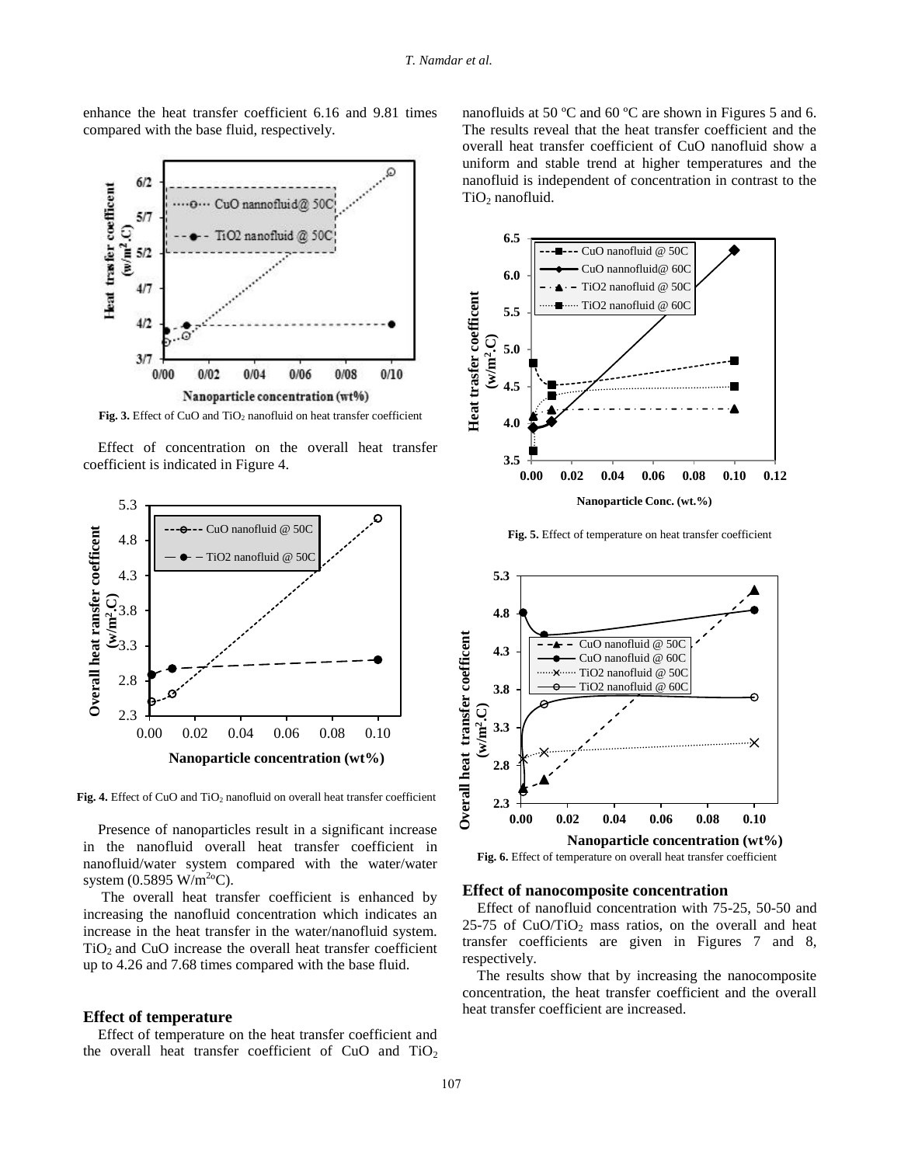enhance the heat transfer coefficient 6.16 and 9.81 times compared with the base fluid, respectively.



Fig. 3. Effect of CuO and TiO<sub>2</sub> nanofluid on heat transfer coefficient

 Effect of concentration on the overall heat transfer coefficient is indicated in Figure 4.



**Fig. 4.** Effect of CuO and TiO<sub>2</sub> nanofluid on overall heat transfer coefficient

 Presence of nanoparticles result in a significant increase in the nanofluid overall heat transfer coefficient in nanofluid/water system compared with the water/water system  $(0.5895 \text{ W/m}^2 \text{°C})$ .

 The overall heat transfer coefficient is enhanced by increasing the nanofluid concentration which indicates an increase in the heat transfer in the water/nanofluid system.  $TiO<sub>2</sub>$  and CuO increase the overall heat transfer coefficient up to 4.26 and 7.68 times compared with the base fluid.

#### **Effect of temperature**

 Effect of temperature on the heat transfer coefficient and the overall heat transfer coefficient of CuO and  $TiO<sub>2</sub>$  nanofluids at 50 ºC and 60 ºC are shown in Figures 5 and 6. The results reveal that the heat transfer coefficient and the overall heat transfer coefficient of CuO nanofluid show a uniform and stable trend at higher temperatures and the nanofluid is independent of concentration in contrast to the  $TiO<sub>2</sub>$  nanofluid.



**Fig. 5.** Effect of temperature on heat transfer coefficient



**Fig. 6.** Effect of temperature on overall heat transfer coefficient

#### **Effect of nanocomposite concentration**

 Effect of nanofluid concentration with 75-25, 50-50 and  $25-75$  of CuO/TiO<sub>2</sub> mass ratios, on the overall and heat transfer coefficients are given in Figures 7 and 8, respectively.

 The results show that by increasing the nanocomposite concentration, the heat transfer coefficient and the overall heat transfer coefficient are increased.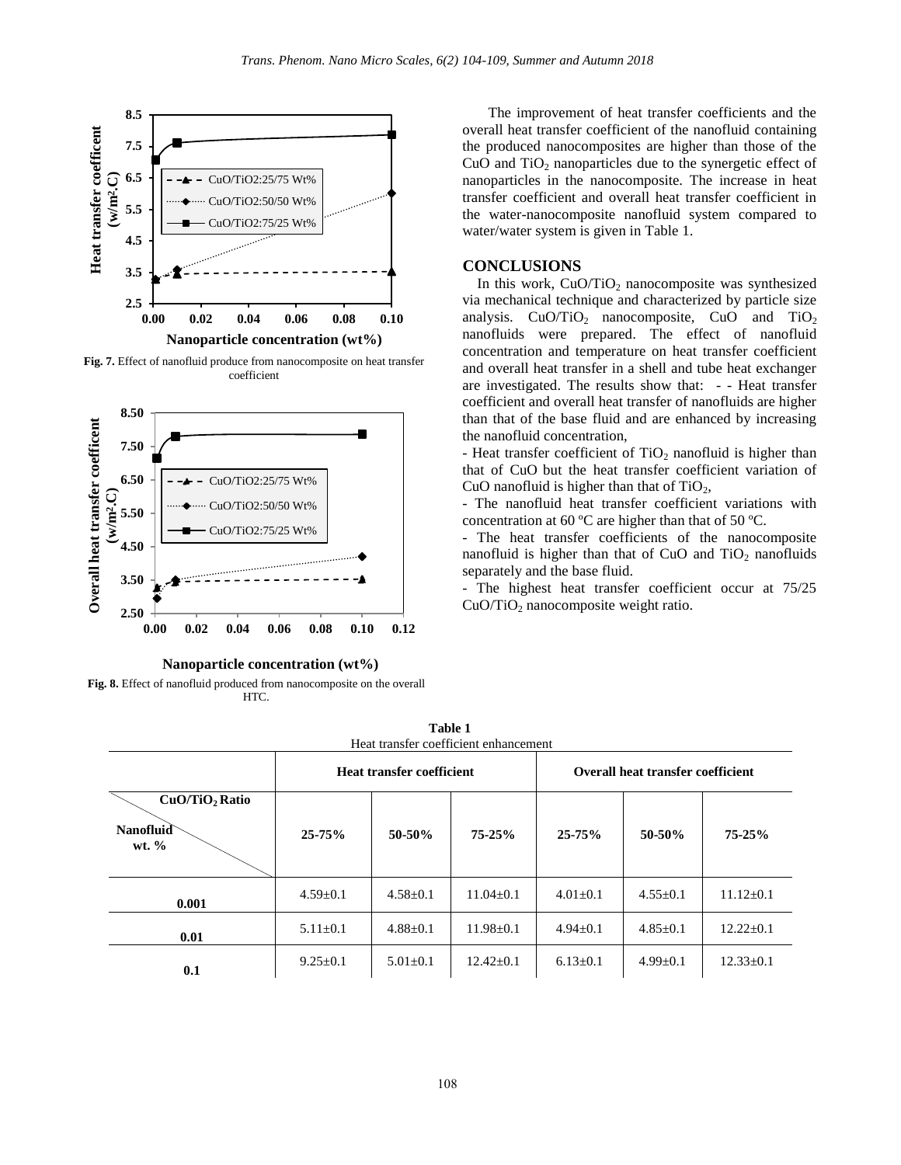

**Fig. 7.** Effect of nanofluid produce from nanocomposite on heat transfer coefficient



#### **Nanoparticle concentration (wt%)**

**Fig. 8.** Effect of nanofluid produced from nanocomposite on the overall HTC.

 The improvement of heat transfer coefficients and the overall heat transfer coefficient of the nanofluid containing the produced nanocomposites are higher than those of the CuO and  $TiO<sub>2</sub>$  nanoparticles due to the synergetic effect of nanoparticles in the nanocomposite. The increase in heat transfer coefficient and overall heat transfer coefficient in the water-nanocomposite nanofluid system compared to water/water system is given in Table 1.

### **CONCLUSIONS**

In this work,  $CuO/TiO<sub>2</sub>$  nanocomposite was synthesized via mechanical technique and characterized by particle size analysis.  $CuO/TiO<sub>2</sub>$  nanocomposite, CuO and TiO<sub>2</sub> nanofluids were prepared. The effect of nanofluid concentration and temperature on heat transfer coefficient and overall heat transfer in a shell and tube heat exchanger are investigated. The results show that: - - Heat transfer coefficient and overall heat transfer of nanofluids are higher than that of the base fluid and are enhanced by increasing the nanofluid concentration,

- Heat transfer coefficient of  $TiO<sub>2</sub>$  nanofluid is higher than that of CuO but the heat transfer coefficient variation of CuO nanofluid is higher than that of  $TiO<sub>2</sub>$ ,

- The nanofluid heat transfer coefficient variations with concentration at 60 ºC are higher than that of 50 ºC.

- The heat transfer coefficients of the nanocomposite nanofluid is higher than that of CuO and  $TiO<sub>2</sub>$  nanofluids separately and the base fluid.

- The highest heat transfer coefficient occur at 75/25  $CuO/TiO<sub>2</sub>$  nanocomposite weight ratio.

Heat transfer coefficient enhancement **Heat transfer coefficient Overall heat transfer coefficient CuO/TiO2 Ratio Nanofluid wt. % 25-75% 50-50% 75-25% 25-75% 50-50% 75-25% 0.001**  $4.59\pm0.1$   $4.58\pm0.1$   $11.04\pm0.1$   $4.01\pm0.1$   $4.55\pm0.1$   $11.12\pm0.1$ **0.01** 5.11±0.1 4.88±0.1 11.98±0.1 4.94±0.1 4.85±0.1 12.22±0.1 **0.1** 9.25±0.1 5.01±0.1 12.42±0.1 6.13±0.1 4.99±0.1 12.33±0.1

**Table 1**